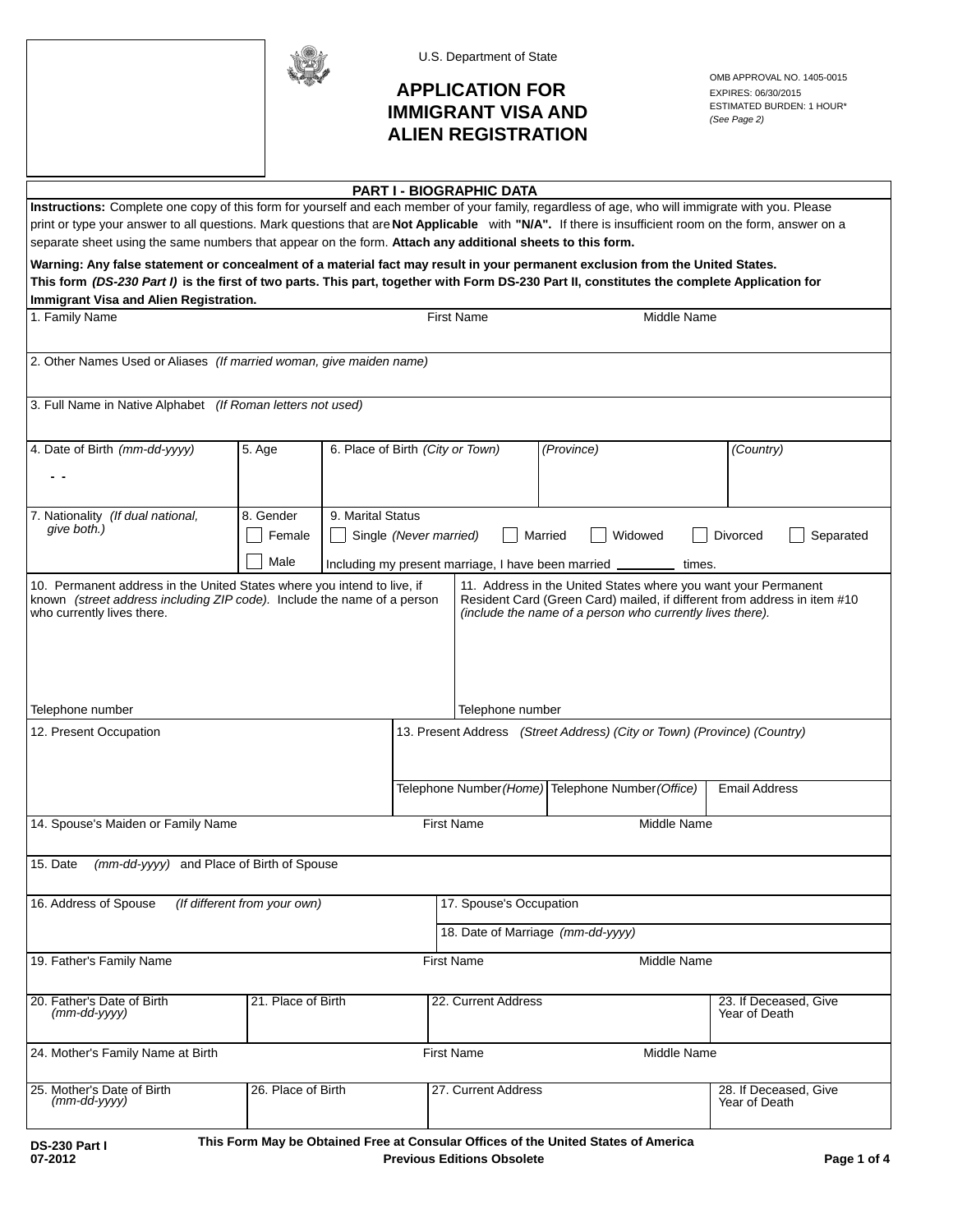

U.S. Department of State

## **APPLICATION FOR IMMIGRANT VISA AND ALIEN REGISTRATION**

OMB APPROVAL NO. 1405-0015 EXPIRES: 06/30/2015 ESTIMATED BURDEN: 1 HOUR\* *(See Page 2)*

| <b>PART I - BIOGRAPHIC DATA</b>                                                                                                                                                                                                                                                                  |                    |                                  |                                                                          |                     |                                                                                    |                       |
|--------------------------------------------------------------------------------------------------------------------------------------------------------------------------------------------------------------------------------------------------------------------------------------------------|--------------------|----------------------------------|--------------------------------------------------------------------------|---------------------|------------------------------------------------------------------------------------|-----------------------|
| Instructions: Complete one copy of this form for yourself and each member of your family, regardless of age, who will immigrate with you. Please                                                                                                                                                 |                    |                                  |                                                                          |                     |                                                                                    |                       |
| print or type your answer to all questions. Mark questions that are Not Applicable with "N/A". If there is insufficient room on the form, answer on a                                                                                                                                            |                    |                                  |                                                                          |                     |                                                                                    |                       |
| separate sheet using the same numbers that appear on the form. Attach any additional sheets to this form.                                                                                                                                                                                        |                    |                                  |                                                                          |                     |                                                                                    |                       |
| Warning: Any false statement or concealment of a material fact may result in your permanent exclusion from the United States.                                                                                                                                                                    |                    |                                  |                                                                          |                     |                                                                                    |                       |
| This form (DS-230 Part I) is the first of two parts. This part, together with Form DS-230 Part II, constitutes the complete Application for                                                                                                                                                      |                    |                                  |                                                                          |                     |                                                                                    |                       |
| Immigrant Visa and Alien Registration.                                                                                                                                                                                                                                                           |                    |                                  |                                                                          |                     |                                                                                    |                       |
| 1. Family Name                                                                                                                                                                                                                                                                                   |                    |                                  |                                                                          | <b>First Name</b>   | Middle Name                                                                        |                       |
|                                                                                                                                                                                                                                                                                                  |                    |                                  |                                                                          |                     |                                                                                    |                       |
| 2. Other Names Used or Aliases (If married woman, give maiden name)                                                                                                                                                                                                                              |                    |                                  |                                                                          |                     |                                                                                    |                       |
|                                                                                                                                                                                                                                                                                                  |                    |                                  |                                                                          |                     |                                                                                    |                       |
|                                                                                                                                                                                                                                                                                                  |                    |                                  |                                                                          |                     |                                                                                    |                       |
| 3. Full Name in Native Alphabet (If Roman letters not used)                                                                                                                                                                                                                                      |                    |                                  |                                                                          |                     |                                                                                    |                       |
|                                                                                                                                                                                                                                                                                                  |                    |                                  |                                                                          |                     |                                                                                    |                       |
| 4. Date of Birth (mm-dd-yyyy)                                                                                                                                                                                                                                                                    | 5. Age             | 6. Place of Birth (City or Town) |                                                                          |                     | (Province)                                                                         | (Country)             |
|                                                                                                                                                                                                                                                                                                  |                    |                                  |                                                                          |                     |                                                                                    |                       |
|                                                                                                                                                                                                                                                                                                  |                    |                                  |                                                                          |                     |                                                                                    |                       |
|                                                                                                                                                                                                                                                                                                  |                    |                                  |                                                                          |                     |                                                                                    |                       |
| 7. Nationality (If dual national,                                                                                                                                                                                                                                                                | 8. Gender          | 9. Marital Status                |                                                                          |                     |                                                                                    |                       |
| give both.)                                                                                                                                                                                                                                                                                      | Female             |                                  | Single (Never married)                                                   |                     | Widowed<br>Married                                                                 | Separated<br>Divorced |
|                                                                                                                                                                                                                                                                                                  | Male               |                                  |                                                                          |                     |                                                                                    |                       |
|                                                                                                                                                                                                                                                                                                  |                    |                                  |                                                                          |                     | Including my present marriage, I have been married ______<br>times.                |                       |
| 10. Permanent address in the United States where you intend to live, if<br>11. Address in the United States where you want your Permanent<br>known (street address including ZIP code). Include the name of a person<br>Resident Card (Green Card) mailed, if different from address in item #10 |                    |                                  |                                                                          |                     |                                                                                    |                       |
| who currently lives there.                                                                                                                                                                                                                                                                       |                    |                                  |                                                                          |                     | (include the name of a person who currently lives there).                          |                       |
|                                                                                                                                                                                                                                                                                                  |                    |                                  |                                                                          |                     |                                                                                    |                       |
|                                                                                                                                                                                                                                                                                                  |                    |                                  |                                                                          |                     |                                                                                    |                       |
|                                                                                                                                                                                                                                                                                                  |                    |                                  |                                                                          |                     |                                                                                    |                       |
|                                                                                                                                                                                                                                                                                                  |                    |                                  |                                                                          |                     |                                                                                    |                       |
|                                                                                                                                                                                                                                                                                                  |                    |                                  |                                                                          |                     |                                                                                    |                       |
| Telephone number                                                                                                                                                                                                                                                                                 |                    |                                  | Telephone number                                                         |                     |                                                                                    |                       |
| 12. Present Occupation                                                                                                                                                                                                                                                                           |                    |                                  | 13. Present Address (Street Address) (City or Town) (Province) (Country) |                     |                                                                                    |                       |
|                                                                                                                                                                                                                                                                                                  |                    |                                  |                                                                          |                     |                                                                                    |                       |
|                                                                                                                                                                                                                                                                                                  |                    |                                  |                                                                          |                     |                                                                                    |                       |
|                                                                                                                                                                                                                                                                                                  |                    |                                  | Telephone Number (Home) Telephone Number (Office)                        |                     |                                                                                    | <b>Email Address</b>  |
|                                                                                                                                                                                                                                                                                                  |                    |                                  |                                                                          |                     |                                                                                    |                       |
| 14. Spouse's Maiden or Family Name                                                                                                                                                                                                                                                               |                    |                                  | <b>First Name</b><br>Middle Name                                         |                     |                                                                                    |                       |
|                                                                                                                                                                                                                                                                                                  |                    |                                  |                                                                          |                     |                                                                                    |                       |
| 15. Date<br>(mm-dd-yyyy) and Place of Birth of Spouse                                                                                                                                                                                                                                            |                    |                                  |                                                                          |                     |                                                                                    |                       |
|                                                                                                                                                                                                                                                                                                  |                    |                                  |                                                                          |                     |                                                                                    |                       |
| 17. Spouse's Occupation<br>16. Address of Spouse<br>(If different from your own)                                                                                                                                                                                                                 |                    |                                  |                                                                          |                     |                                                                                    |                       |
|                                                                                                                                                                                                                                                                                                  |                    |                                  |                                                                          |                     |                                                                                    |                       |
|                                                                                                                                                                                                                                                                                                  |                    |                                  |                                                                          |                     | 18. Date of Marriage (mm-dd-yyyy)                                                  |                       |
|                                                                                                                                                                                                                                                                                                  |                    |                                  |                                                                          |                     |                                                                                    |                       |
| 19. Father's Family Name                                                                                                                                                                                                                                                                         |                    |                                  |                                                                          | <b>First Name</b>   | Middle Name                                                                        |                       |
|                                                                                                                                                                                                                                                                                                  |                    |                                  |                                                                          |                     |                                                                                    |                       |
| 20. Father's Date of Birth                                                                                                                                                                                                                                                                       | 21. Place of Birth |                                  |                                                                          | 22. Current Address |                                                                                    | 23. If Deceased, Give |
| $(mm$ -dd-yyyy)                                                                                                                                                                                                                                                                                  |                    |                                  |                                                                          |                     |                                                                                    | Year of Death         |
|                                                                                                                                                                                                                                                                                                  |                    |                                  |                                                                          |                     |                                                                                    |                       |
| 24. Mother's Family Name at Birth                                                                                                                                                                                                                                                                |                    |                                  | <b>First Name</b>                                                        | Middle Name         |                                                                                    |                       |
|                                                                                                                                                                                                                                                                                                  |                    |                                  |                                                                          |                     |                                                                                    |                       |
| 25. Mother's Date of Birth                                                                                                                                                                                                                                                                       | 26. Place of Birth |                                  |                                                                          | 27. Current Address |                                                                                    | 28. If Deceased, Give |
| $(mm$ -dd-yyyy)                                                                                                                                                                                                                                                                                  |                    |                                  |                                                                          |                     |                                                                                    | Year of Death         |
|                                                                                                                                                                                                                                                                                                  |                    |                                  |                                                                          |                     |                                                                                    |                       |
| DS_230 Dart I                                                                                                                                                                                                                                                                                    |                    |                                  |                                                                          |                     | This Form May be Obtained Free at Consular Offices of the United States of America |                       |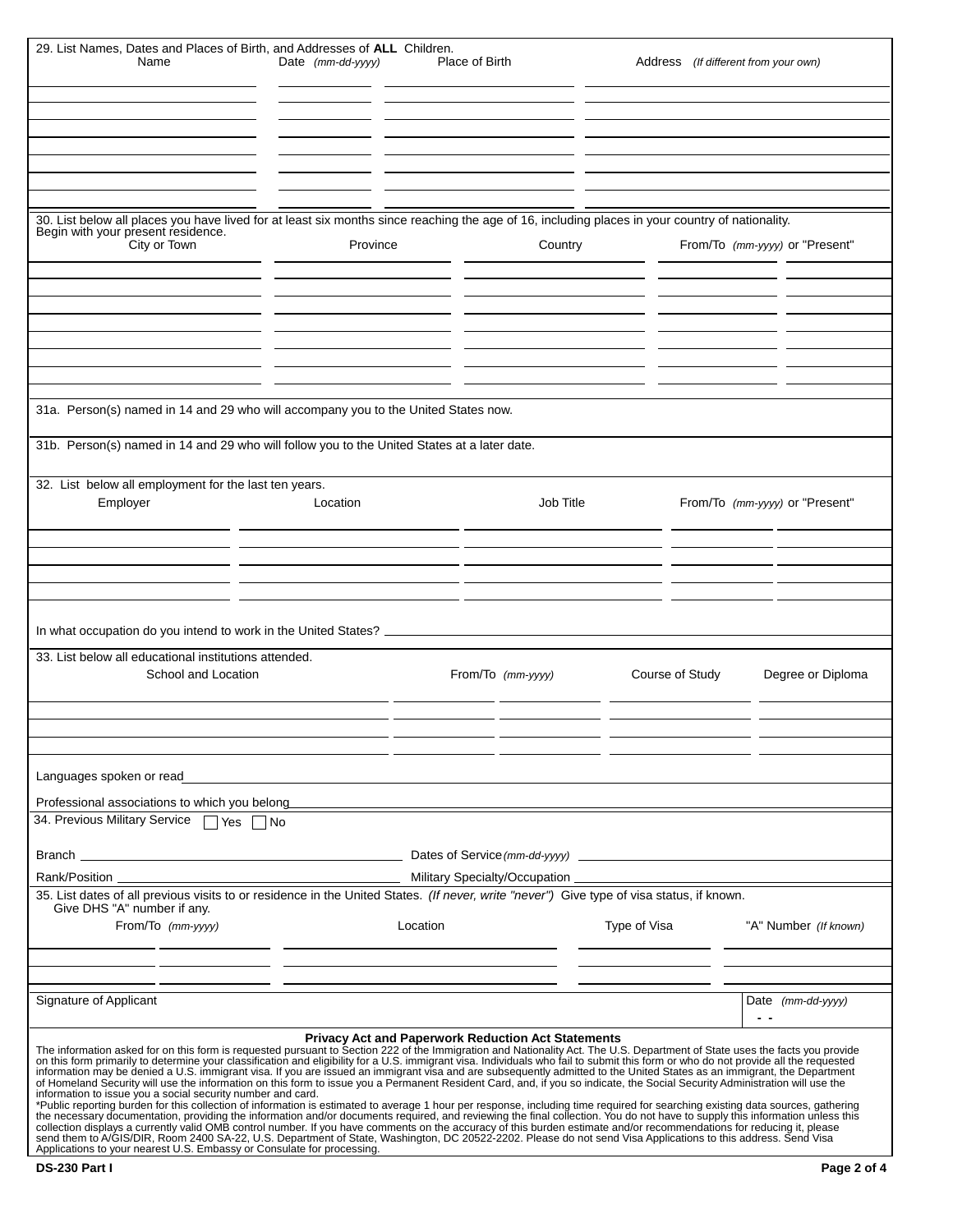| 29. List Names, Dates and Places of Birth, and Addresses of ALL Children.<br>Name                                                                                                                                                                                                                                                                                  | Date (mm-dd-yyyy) | Place of Birth                                            | Address         | (If different from your own)   |
|--------------------------------------------------------------------------------------------------------------------------------------------------------------------------------------------------------------------------------------------------------------------------------------------------------------------------------------------------------------------|-------------------|-----------------------------------------------------------|-----------------|--------------------------------|
|                                                                                                                                                                                                                                                                                                                                                                    |                   |                                                           |                 |                                |
|                                                                                                                                                                                                                                                                                                                                                                    |                   |                                                           |                 |                                |
|                                                                                                                                                                                                                                                                                                                                                                    |                   |                                                           |                 |                                |
|                                                                                                                                                                                                                                                                                                                                                                    |                   |                                                           |                 |                                |
|                                                                                                                                                                                                                                                                                                                                                                    |                   |                                                           |                 |                                |
|                                                                                                                                                                                                                                                                                                                                                                    |                   |                                                           |                 |                                |
|                                                                                                                                                                                                                                                                                                                                                                    |                   |                                                           |                 |                                |
| 30. List below all places you have lived for at least six months since reaching the age of 16, including places in your country of nationality.<br>Begin with your present residence.                                                                                                                                                                              |                   |                                                           |                 |                                |
| City or Town                                                                                                                                                                                                                                                                                                                                                       | Province          | Country                                                   |                 | From/To (mm-yyyy) or "Present" |
|                                                                                                                                                                                                                                                                                                                                                                    |                   |                                                           |                 |                                |
|                                                                                                                                                                                                                                                                                                                                                                    |                   |                                                           |                 |                                |
|                                                                                                                                                                                                                                                                                                                                                                    |                   |                                                           |                 |                                |
|                                                                                                                                                                                                                                                                                                                                                                    |                   |                                                           |                 |                                |
|                                                                                                                                                                                                                                                                                                                                                                    |                   |                                                           |                 |                                |
|                                                                                                                                                                                                                                                                                                                                                                    |                   |                                                           |                 |                                |
|                                                                                                                                                                                                                                                                                                                                                                    |                   |                                                           |                 |                                |
| 31a. Person(s) named in 14 and 29 who will accompany you to the United States now.                                                                                                                                                                                                                                                                                 |                   |                                                           |                 |                                |
| 31b. Person(s) named in 14 and 29 who will follow you to the United States at a later date.                                                                                                                                                                                                                                                                        |                   |                                                           |                 |                                |
|                                                                                                                                                                                                                                                                                                                                                                    |                   |                                                           |                 |                                |
| 32. List below all employment for the last ten years.                                                                                                                                                                                                                                                                                                              |                   |                                                           |                 |                                |
| Employer                                                                                                                                                                                                                                                                                                                                                           | Location          | Job Title                                                 |                 | From/To (mm-yyyy) or "Present" |
|                                                                                                                                                                                                                                                                                                                                                                    |                   |                                                           |                 |                                |
|                                                                                                                                                                                                                                                                                                                                                                    |                   |                                                           |                 |                                |
|                                                                                                                                                                                                                                                                                                                                                                    |                   |                                                           |                 |                                |
|                                                                                                                                                                                                                                                                                                                                                                    |                   |                                                           |                 |                                |
|                                                                                                                                                                                                                                                                                                                                                                    |                   |                                                           |                 |                                |
|                                                                                                                                                                                                                                                                                                                                                                    |                   |                                                           |                 |                                |
| 33. List below all educational institutions attended.                                                                                                                                                                                                                                                                                                              |                   |                                                           |                 |                                |
| School and Location                                                                                                                                                                                                                                                                                                                                                |                   | $From/To$ ( $mm$ -yyyy)                                   | Course of Study | Degree or Diploma              |
|                                                                                                                                                                                                                                                                                                                                                                    |                   |                                                           |                 |                                |
|                                                                                                                                                                                                                                                                                                                                                                    |                   |                                                           |                 |                                |
|                                                                                                                                                                                                                                                                                                                                                                    |                   |                                                           |                 |                                |
|                                                                                                                                                                                                                                                                                                                                                                    |                   |                                                           |                 |                                |
| Languages spoken or read                                                                                                                                                                                                                                                                                                                                           |                   |                                                           |                 |                                |
| Professional associations to which you belong                                                                                                                                                                                                                                                                                                                      |                   |                                                           |                 |                                |
| 34. Previous Military Service<br>Yes                                                                                                                                                                                                                                                                                                                               | No.               |                                                           |                 |                                |
|                                                                                                                                                                                                                                                                                                                                                                    |                   |                                                           |                 |                                |
|                                                                                                                                                                                                                                                                                                                                                                    |                   |                                                           |                 |                                |
|                                                                                                                                                                                                                                                                                                                                                                    |                   |                                                           |                 |                                |
| 35. List dates of all previous visits to or residence in the United States. (If never, write "never") Give type of visa status, if known.<br>Give DHS "A" number if anv.                                                                                                                                                                                           |                   |                                                           |                 |                                |
| From/To (mm-yyyy)                                                                                                                                                                                                                                                                                                                                                  |                   | Location                                                  | Type of Visa    | "A" Number (If known)          |
|                                                                                                                                                                                                                                                                                                                                                                    |                   |                                                           |                 |                                |
|                                                                                                                                                                                                                                                                                                                                                                    |                   |                                                           |                 |                                |
|                                                                                                                                                                                                                                                                                                                                                                    |                   |                                                           |                 |                                |
| Signature of Applicant                                                                                                                                                                                                                                                                                                                                             |                   |                                                           |                 | Date $(mm$ -dd-yyyy)           |
|                                                                                                                                                                                                                                                                                                                                                                    |                   |                                                           |                 | $ -$                           |
|                                                                                                                                                                                                                                                                                                                                                                    |                   | <b>Privacy Act and Paperwork Reduction Act Statements</b> |                 |                                |
| The information asked for on this form is requested pursuant to Section 222 of the Immigration and Nationality Act. The U.S. Department of State uses the facts you provide<br>on this form primarily to determine your classification and eligibility for a U.S. immigrant visa. Individuals who fail to submit this form or who do not provide all the requested |                   |                                                           |                 |                                |
| information may be denied a U.S. immigrant visa. If you are issued an immigrant visa and are subsequently admitted to the United States as an immigrant, the Department<br>of Homeland Security will use the information on this form to issue you a Permanent Resident Card, and, if you so indicate, the Social Security Administration will use the             |                   |                                                           |                 |                                |
| information to issue you a social security number and card.<br>*Public reporting burden for this collection of information is estimated to average 1 hour per response, including time required for searching existing data sources, gathering                                                                                                                     |                   |                                                           |                 |                                |
| the necessary documentation, providing the information and/or documents required, and reviewing the final collection. You do not have to supply this information unless this<br>collection displays a currently valid OMB control number. If you have comments on the accuracy of this burden estimate and/or recommendations for reducing it, please              |                   |                                                           |                 |                                |
| send them to A/GIS/DIR, Room 2400 SA-22, U.S. Department of State, Washington, DC 20522-2202. Please do not send Visa Applications to this address. Send Visa<br>Applications to your nearest U.S. Embassy or Consulate for processing.                                                                                                                            |                   |                                                           |                 |                                |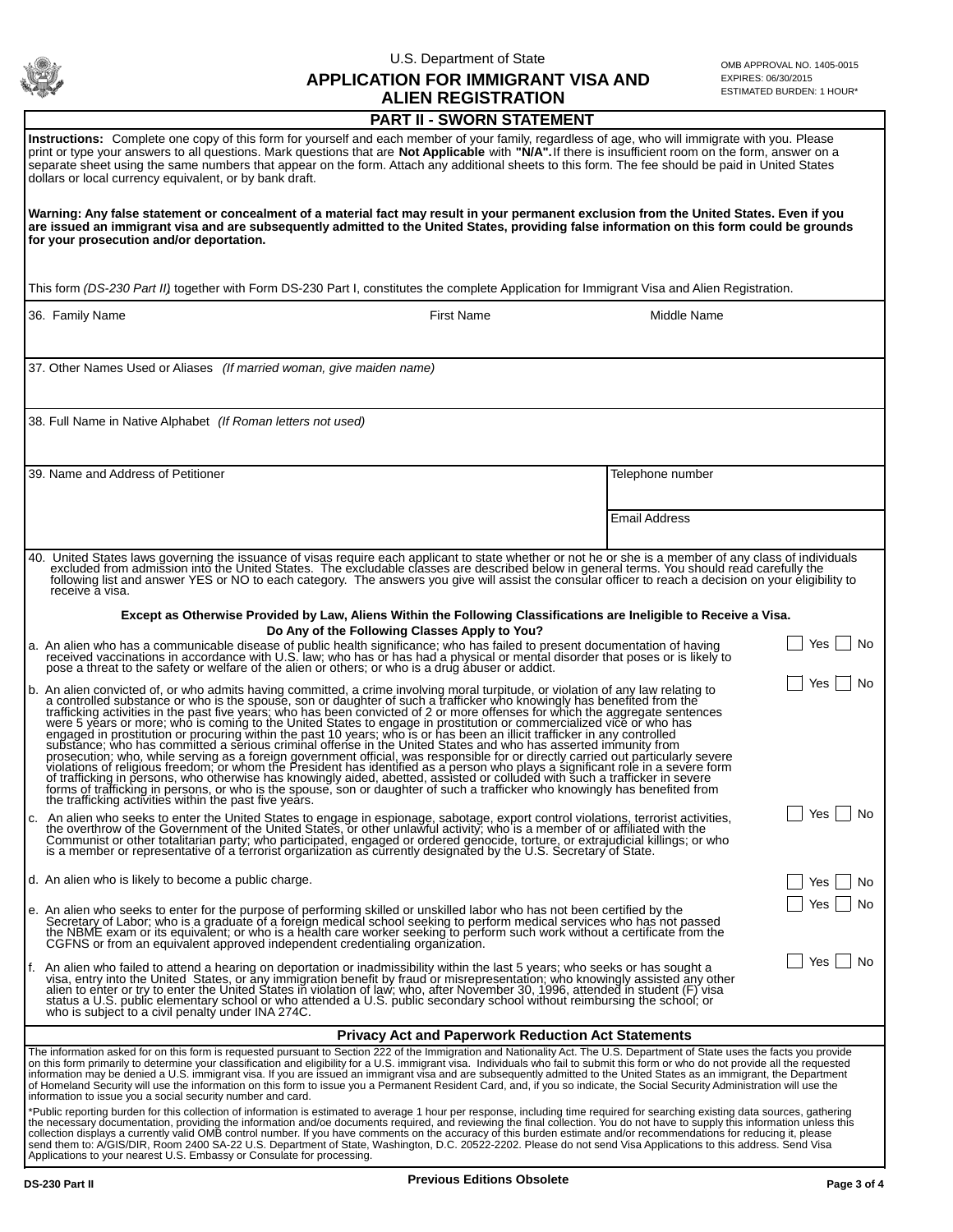

U.S. Department of State

OMB APPROVAL NO. 1405-0015 EXPIRES: 06/30/2015<br>ESTIMATED BURDEN: 1 HOUR\*

## **APPLICATION FOR IMMIGRANT VISA AND ALIEN REGISTRATION**

## **PART II - SWORN STATEMENT**

| Instructions: Complete one copy of this form for yourself and each member of your family, regardless of age, who will immigrate with you. Please<br>print or type your answers to all questions. Mark questions that are Not Applicable with "N/A". If there is insufficient room on the form, answer on a<br>separate sheet using the same numbers that appear on the form. Attach any additional sheets to this form. The fee should be paid in United States<br>dollars or local currency equivalent, or by bank draft.                                                                                                                                                                                                                                                            |                                                                                                                                                                                                                                                                                                                                                                                                                                                                                                                                                                                                                                                                                                                                                                                             |                      |     |  |  |
|---------------------------------------------------------------------------------------------------------------------------------------------------------------------------------------------------------------------------------------------------------------------------------------------------------------------------------------------------------------------------------------------------------------------------------------------------------------------------------------------------------------------------------------------------------------------------------------------------------------------------------------------------------------------------------------------------------------------------------------------------------------------------------------|---------------------------------------------------------------------------------------------------------------------------------------------------------------------------------------------------------------------------------------------------------------------------------------------------------------------------------------------------------------------------------------------------------------------------------------------------------------------------------------------------------------------------------------------------------------------------------------------------------------------------------------------------------------------------------------------------------------------------------------------------------------------------------------------|----------------------|-----|--|--|
| Warning: Any false statement or concealment of a material fact may result in your permanent exclusion from the United States. Even if you<br>are issued an immigrant visa and are subsequently admitted to the United States, providing false information on this form could be grounds<br>for your prosecution and/or deportation.                                                                                                                                                                                                                                                                                                                                                                                                                                                   |                                                                                                                                                                                                                                                                                                                                                                                                                                                                                                                                                                                                                                                                                                                                                                                             |                      |     |  |  |
|                                                                                                                                                                                                                                                                                                                                                                                                                                                                                                                                                                                                                                                                                                                                                                                       | This form (DS-230 Part II) together with Form DS-230 Part I, constitutes the complete Application for Immigrant Visa and Alien Registration.                                                                                                                                                                                                                                                                                                                                                                                                                                                                                                                                                                                                                                                |                      |     |  |  |
|                                                                                                                                                                                                                                                                                                                                                                                                                                                                                                                                                                                                                                                                                                                                                                                       | 36. Family Name<br><b>First Name</b>                                                                                                                                                                                                                                                                                                                                                                                                                                                                                                                                                                                                                                                                                                                                                        | Middle Name          |     |  |  |
|                                                                                                                                                                                                                                                                                                                                                                                                                                                                                                                                                                                                                                                                                                                                                                                       | 37. Other Names Used or Aliases (If married woman, give maiden name)                                                                                                                                                                                                                                                                                                                                                                                                                                                                                                                                                                                                                                                                                                                        |                      |     |  |  |
|                                                                                                                                                                                                                                                                                                                                                                                                                                                                                                                                                                                                                                                                                                                                                                                       | 38. Full Name in Native Alphabet (If Roman letters not used)                                                                                                                                                                                                                                                                                                                                                                                                                                                                                                                                                                                                                                                                                                                                |                      |     |  |  |
|                                                                                                                                                                                                                                                                                                                                                                                                                                                                                                                                                                                                                                                                                                                                                                                       | 39. Name and Address of Petitioner                                                                                                                                                                                                                                                                                                                                                                                                                                                                                                                                                                                                                                                                                                                                                          | Telephone number     |     |  |  |
|                                                                                                                                                                                                                                                                                                                                                                                                                                                                                                                                                                                                                                                                                                                                                                                       |                                                                                                                                                                                                                                                                                                                                                                                                                                                                                                                                                                                                                                                                                                                                                                                             | <b>Email Address</b> |     |  |  |
|                                                                                                                                                                                                                                                                                                                                                                                                                                                                                                                                                                                                                                                                                                                                                                                       | 40. United States laws governing the issuance of visas require each applicant to state whether or not he or she is a member of any class of individuals excluded from admission into the United States. The excludable classes<br>receive a visa.                                                                                                                                                                                                                                                                                                                                                                                                                                                                                                                                           |                      |     |  |  |
|                                                                                                                                                                                                                                                                                                                                                                                                                                                                                                                                                                                                                                                                                                                                                                                       | Except as Otherwise Provided by Law, Aliens Within the Following Classifications are Ineligible to Receive a Visa.                                                                                                                                                                                                                                                                                                                                                                                                                                                                                                                                                                                                                                                                          |                      |     |  |  |
|                                                                                                                                                                                                                                                                                                                                                                                                                                                                                                                                                                                                                                                                                                                                                                                       | Do Any of the Following Classes Apply to You?<br>a. An alien who has a communicable disease of public health significance; who has failed to present documentation of having<br>received vaccinations in accordance with U.S. law; who has or has had a physical or mental disorde<br>pose a threat to the safety or welfare of the alien or others; or who is a drug abuser or addict.                                                                                                                                                                                                                                                                                                                                                                                                     | Yes                  | No. |  |  |
|                                                                                                                                                                                                                                                                                                                                                                                                                                                                                                                                                                                                                                                                                                                                                                                       | b. An alien convicted of, or who admits having committed, a crime involving moral turpitude, or violation of any law relating to a controlled substance or who is the spouse, son or daughter of such a trafficker who knowing<br>diate to peak or more; who is coming to the United States to engage in prostitution or commercialized vice or who has<br>engaged in prostitution or procuring within the past 10 years; who is or has been an illicit trafficker<br>of trafficking in persons, who otherwise has knowingly aided, abetted, assisted or colluded with such a trafficker in severe<br>forms of trafficking in persons, or who is the spouse, son or daughter of such a trafficker who k                                                                                     | Yes                  | No. |  |  |
|                                                                                                                                                                                                                                                                                                                                                                                                                                                                                                                                                                                                                                                                                                                                                                                       | c. An alien who seeks to enter the United States to engage in espionage, sabotage, export control violations, terrorist activities,<br>the overthrow of the Government of the United States, or other unlawful activity, who is a member of or affiliated with the<br>Communist or other totalitarian party; who participated, engaged or ordered genocide, torture, or extrajudicial killings; or who<br>is a member or representative of a ferrorist organization as currently designated by the U.S. Secretary of State.                                                                                                                                                                                                                                                                 | Yes                  | No. |  |  |
|                                                                                                                                                                                                                                                                                                                                                                                                                                                                                                                                                                                                                                                                                                                                                                                       | d. An alien who is likely to become a public charge.                                                                                                                                                                                                                                                                                                                                                                                                                                                                                                                                                                                                                                                                                                                                        | Yes                  | No  |  |  |
|                                                                                                                                                                                                                                                                                                                                                                                                                                                                                                                                                                                                                                                                                                                                                                                       | e. An alien who seeks to enter for the purpose of performing skilled or unskilled labor who has not been certified by the<br>Secretary of Labor; who is a graduate of a foreign medical school seeking to perform medical services who has not passed<br>the NBME exam or its equivalent; or who is a health care worker seeking to perform such work without a certificate from the<br>CGFNS or from an equivalent approved independent credentialing organization.                                                                                                                                                                                                                                                                                                                        | Yes                  | No  |  |  |
|                                                                                                                                                                                                                                                                                                                                                                                                                                                                                                                                                                                                                                                                                                                                                                                       | f. An alien who failed to attend a hearing on deportation or inadmissibility within the last 5 years; who seeks or has sought a<br>visa, entry into the United States, or any immigration benefit by fraud or misrepresentation; who knowingly assisted any other<br>alien to enter or try to enter the United States in violation of law; who, after November 30, 1996, attended in student (F) visa<br>status a U.S. public elementary school or who attended a U.S. public secondary school without reimbursing the school; or<br>who is subject to a civil penalty under INA 274C.                                                                                                                                                                                                      | Yes                  | No. |  |  |
|                                                                                                                                                                                                                                                                                                                                                                                                                                                                                                                                                                                                                                                                                                                                                                                       | <b>Privacy Act and Paperwork Reduction Act Statements</b>                                                                                                                                                                                                                                                                                                                                                                                                                                                                                                                                                                                                                                                                                                                                   |                      |     |  |  |
|                                                                                                                                                                                                                                                                                                                                                                                                                                                                                                                                                                                                                                                                                                                                                                                       | The information asked for on this form is requested pursuant to Section 222 of the Immigration and Nationality Act. The U.S. Department of State uses the facts you provide<br>on this form primarily to determine your classification and eligibility for a U.S. immigrant visa. Individuals who fail to submit this form or who do not provide all the requested<br>information may be denied a U.S. immigrant visa. If you are issued an immigrant visa and are subsequently admitted to the United States as an immigrant, the Department<br>of Homeland Security will use the information on this form to issue you a Permanent Resident Card, and, if you so indicate, the Social Security Administration will use the<br>information to issue you a social security number and card. |                      |     |  |  |
| *Public reporting burden for this collection of information is estimated to average 1 hour per response, including time required for searching existing data sources, gathering<br>the necessary documentation, providing the information and/oe documents required, and reviewing the final collection. You do not have to supply this information unless this<br>collection displays a currently valid OMB control number. If you have comments on the accuracy of this burden estimate and/or recommendations for reducing it, please<br>send them to: A/GIS/DIR, Room 2400 SA-22 U.S. Department of State, Washington, D.C. 20522-2202. Please do not send Visa Applications to this address. Send Visa<br>Applications to your nearest U.S. Embassy or Consulate for processing. |                                                                                                                                                                                                                                                                                                                                                                                                                                                                                                                                                                                                                                                                                                                                                                                             |                      |     |  |  |